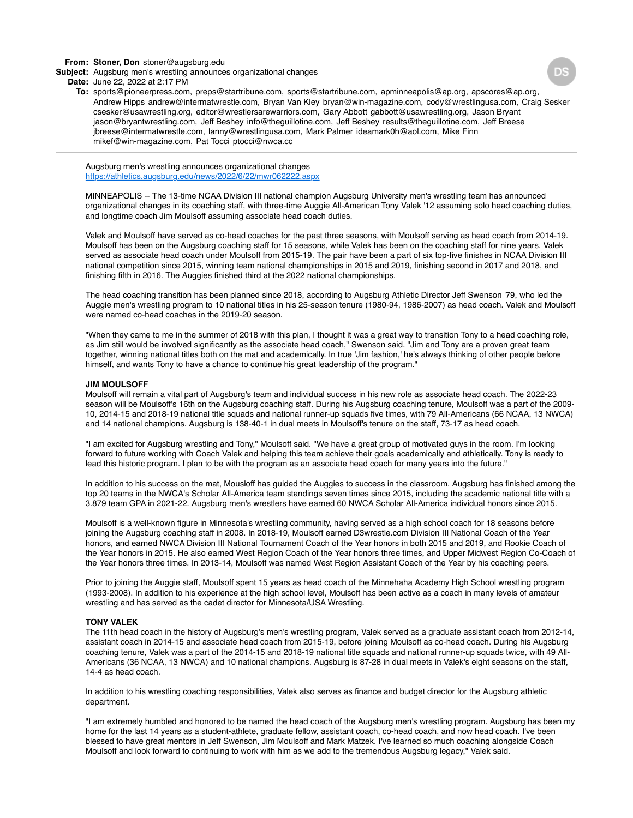### **From: Stoner, Don** stoner@augsburg.edu

**Subject:** Augsburg men's wrestling announces organizational changes

#### **Date:** June 22, 2022 at 2:17 PM

**To:** sports@pioneerpress.com, preps@startribune.com, sports@startribune.com, apminneapolis@ap.org, apscores@ap.org, Andrew Hipps andrew@intermatwrestle.com, Bryan Van Kley bryan@win-magazine.com, cody@wrestlingusa.com, Craig Sesker csesker@usawrestling.org, editor@wrestlersarewarriors.com, Gary Abbott gabbott@usawrestling.org, Jason Bryant jason@bryantwrestling.com, Jeff Beshey info@theguillotine.com, Jeff Beshey results@theguillotine.com, Jeff Breese jbreese@intermatwrestle.com, lanny@wrestlingusa.com, Mark Palmer ideamark0h@aol.com, Mike Finn mikef@win-magazine.com, Pat Tocci ptocci@nwca.cc

Augsburg men's wrestling announces organizational changes <https://athletics.augsburg.edu/news/2022/6/22/mwr062222.aspx>

MINNEAPOLIS -- The 13-time NCAA Division III national champion Augsburg University men's wrestling team has announced organizational changes in its coaching staff, with three-time Auggie All-American Tony Valek '12 assuming solo head coaching duties, and longtime coach Jim Moulsoff assuming associate head coach duties.

Valek and Moulsoff have served as co-head coaches for the past three seasons, with Moulsoff serving as head coach from 2014-19. Moulsoff has been on the Augsburg coaching staff for 15 seasons, while Valek has been on the coaching staff for nine years. Valek served as associate head coach under Moulsoff from 2015-19. The pair have been a part of six top-five finishes in NCAA Division III national competition since 2015, winning team national championships in 2015 and 2019, finishing second in 2017 and 2018, and finishing fifth in 2016. The Auggies finished third at the 2022 national championships.

The head coaching transition has been planned since 2018, according to Augsburg Athletic Director Jeff Swenson '79, who led the Auggie men's wrestling program to 10 national titles in his 25-season tenure (1980-94, 1986-2007) as head coach. Valek and Moulsoff were named co-head coaches in the 2019-20 season.

"When they came to me in the summer of 2018 with this plan, I thought it was a great way to transition Tony to a head coaching role, as Jim still would be involved significantly as the associate head coach," Swenson said. "Jim and Tony are a proven great team together, winning national titles both on the mat and academically. In true 'Jim fashion,' he's always thinking of other people before himself, and wants Tony to have a chance to continue his great leadership of the program."

#### **JIM MOULSOFF**

Moulsoff will remain a vital part of Augsburg's team and individual success in his new role as associate head coach. The 2022-23 season will be Moulsoff's 16th on the Augsburg coaching staff. During his Augsburg coaching tenure, Moulsoff was a part of the 2009- 10, 2014-15 and 2018-19 national title squads and national runner-up squads five times, with 79 All-Americans (66 NCAA, 13 NWCA) and 14 national champions. Augsburg is 138-40-1 in dual meets in Moulsoff's tenure on the staff, 73-17 as head coach.

"I am excited for Augsburg wrestling and Tony," Moulsoff said. "We have a great group of motivated guys in the room. I'm looking forward to future working with Coach Valek and helping this team achieve their goals academically and athletically. Tony is ready to lead this historic program. I plan to be with the program as an associate head coach for many years into the future."

In addition to his success on the mat, Mousloff has guided the Auggies to success in the classroom. Augsburg has finished among the top 20 teams in the NWCA's Scholar All-America team standings seven times since 2015, including the academic national title with a 3.879 team GPA in 2021-22. Augsburg men's wrestlers have earned 60 NWCA Scholar All-America individual honors since 2015.

Moulsoff is a well-known figure in Minnesota's wrestling community, having served as a high school coach for 18 seasons before joining the Augsburg coaching staff in 2008. In 2018-19, Moulsoff earned D3wrestle.com Division III National Coach of the Year honors, and earned NWCA Division III National Tournament Coach of the Year honors in both 2015 and 2019, and Rookie Coach of the Year honors in 2015. He also earned West Region Coach of the Year honors three times, and Upper Midwest Region Co-Coach of the Year honors three times. In 2013-14, Moulsoff was named West Region Assistant Coach of the Year by his coaching peers.

Prior to joining the Auggie staff, Moulsoff spent 15 years as head coach of the Minnehaha Academy High School wrestling program (1993-2008). In addition to his experience at the high school level, Moulsoff has been active as a coach in many levels of amateur wrestling and has served as the cadet director for Minnesota/USA Wrestling.

# **TONY VALEK**

The 11th head coach in the history of Augsburg's men's wrestling program, Valek served as a graduate assistant coach from 2012-14, assistant coach in 2014-15 and associate head coach from 2015-19, before joining Moulsoff as co-head coach. During his Augsburg coaching tenure, Valek was a part of the 2014-15 and 2018-19 national title squads and national runner-up squads twice, with 49 All-Americans (36 NCAA, 13 NWCA) and 10 national champions. Augsburg is 87-28 in dual meets in Valek's eight seasons on the staff, 14-4 as head coach.

In addition to his wrestling coaching responsibilities, Valek also serves as finance and budget director for the Augsburg athletic department.

"I am extremely humbled and honored to be named the head coach of the Augsburg men's wrestling program. Augsburg has been my home for the last 14 years as a student-athlete, graduate fellow, assistant coach, co-head coach, and now head coach. I've been blessed to have great mentors in Jeff Swenson, Jim Moulsoff and Mark Matzek. I've learned so much coaching alongside Coach Moulsoff and look forward to continuing to work with him as we add to the tremendous Augsburg legacy," Valek said.